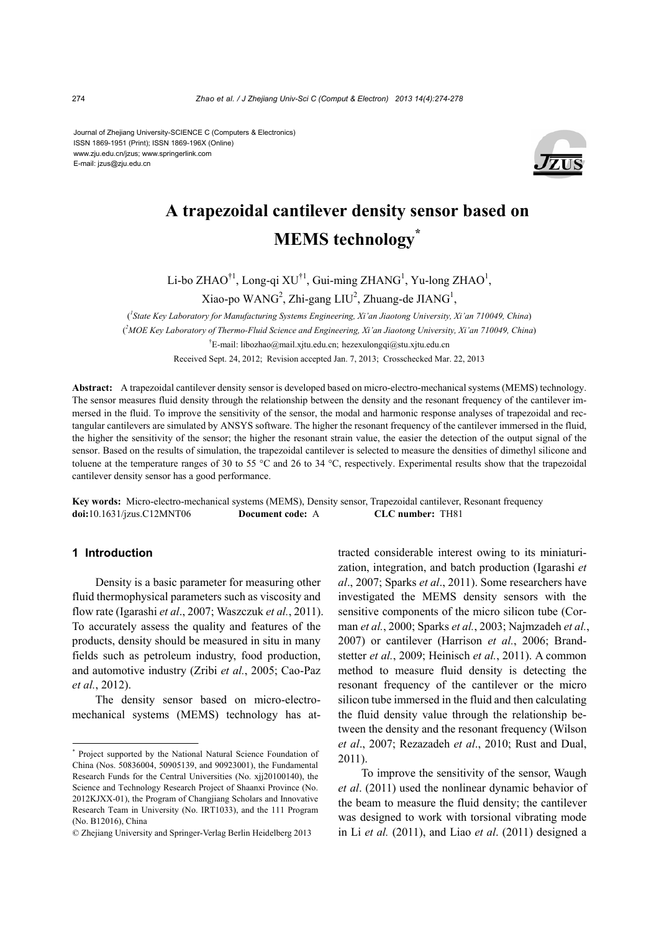Journal of Zhejiang University-SCIENCE C (Computers & Electronics) ISSN 1869-1951 (Print); ISSN 1869-196X (Online) www.zju.edu.cn/jzus; www.springerlink.com E-mail: jzus@zju.edu.cn



# **A trapezoidal cantilever density sensor based on MEMS technology\***

Li-bo ZHAO<sup>†1</sup>, Long-qi XU<sup>†1</sup>, Gui-ming ZHANG<sup>1</sup>, Yu-long ZHAO<sup>1</sup>,

 $Xiao-po$  WANG<sup>2</sup>, Zhi-gang LIU<sup>2</sup>, Zhuang-de JIANG<sup>1</sup>,

( *1 State Key Laboratory for Manufacturing Systems Engineering, Xi'an Jiaotong University, Xi'an 710049, China*) ( *2 MOE Key Laboratory of Thermo-Fluid Science and Engineering, Xi'an Jiaotong University, Xi'an 710049, China*) † E-mail: libozhao@mail.xjtu.edu.cn; hezexulongqi@stu.xjtu.edu.cn Received Sept. 24, 2012; Revision accepted Jan. 7, 2013; Crosschecked Mar. 22, 2013

**Abstract:** A trapezoidal cantilever density sensor is developed based on micro-electro-mechanical systems (MEMS) technology. The sensor measures fluid density through the relationship between the density and the resonant frequency of the cantilever immersed in the fluid. To improve the sensitivity of the sensor, the modal and harmonic response analyses of trapezoidal and rectangular cantilevers are simulated by ANSYS software. The higher the resonant frequency of the cantilever immersed in the fluid, the higher the sensitivity of the sensor; the higher the resonant strain value, the easier the detection of the output signal of the sensor. Based on the results of simulation, the trapezoidal cantilever is selected to measure the densities of dimethyl silicone and toluene at the temperature ranges of 30 to 55 °C and 26 to 34 °C, respectively. Experimental results show that the trapezoidal cantilever density sensor has a good performance.

**Key words:** Micro-electro-mechanical systems (MEMS), Density sensor, Trapezoidal cantilever, Resonant frequency **doi:**10.1631/jzus.C12MNT06 **Document code:** A **CLC number:** TH81

## **1 Introduction**

Density is a basic parameter for measuring other fluid thermophysical parameters such as viscosity and flow rate (Igarashi *et al*., 2007; Waszczuk *et al.*, 2011). To accurately assess the quality and features of the products, density should be measured in situ in many fields such as petroleum industry, food production, and automotive industry (Zribi *et al.*, 2005; Cao-Paz *et al.*, 2012).

The density sensor based on micro-electromechanical systems (MEMS) technology has attracted considerable interest owing to its miniaturization, integration, and batch production (Igarashi *et al*., 2007; Sparks *et al*., 2011). Some researchers have investigated the MEMS density sensors with the sensitive components of the micro silicon tube (Corman *et al.*, 2000; Sparks *et al.*, 2003; Najmzadeh *et al.*, 2007) or cantilever (Harrison *et al.*, 2006; Brandstetter *et al.*, 2009; Heinisch *et al.*, 2011). A common method to measure fluid density is detecting the resonant frequency of the cantilever or the micro silicon tube immersed in the fluid and then calculating the fluid density value through the relationship between the density and the resonant frequency (Wilson *et al*., 2007; Rezazadeh *et al*., 2010; Rust and Dual, 2011).

To improve the sensitivity of the sensor, Waugh *et al*. (2011) used the nonlinear dynamic behavior of the beam to measure the fluid density; the cantilever was designed to work with torsional vibrating mode in Li *et al.* (2011), and Liao *et al*. (2011) designed a

<sup>\*</sup> Project supported by the National Natural Science Foundation of China (Nos. 50836004, 50905139, and 90923001), the Fundamental Research Funds for the Central Universities (No. xjj20100140), the Science and Technology Research Project of Shaanxi Province (No. 2012KJXX-01), the Program of Changjiang Scholars and Innovative Research Team in University (No. IRT1033), and the 111 Program (No. B12016), China

<sup>©</sup> Zhejiang University and Springer-Verlag Berlin Heidelberg 2013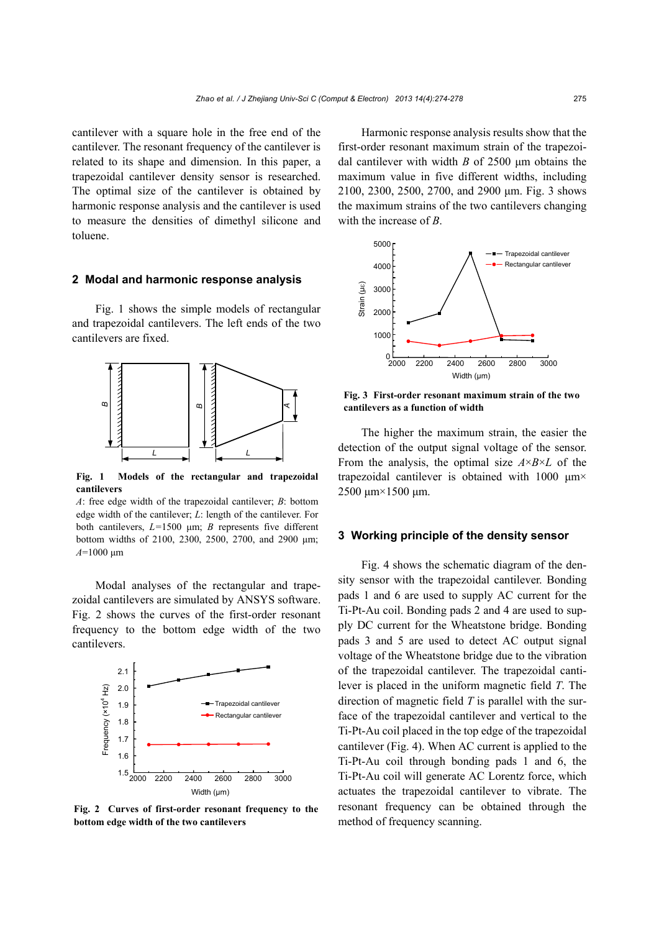cantilever with a square hole in the free end of the cantilever. The resonant frequency of the cantilever is related to its shape and dimension. In this paper, a trapezoidal cantilever density sensor is researched. The optimal size of the cantilever is obtained by harmonic response analysis and the cantilever is used to measure the densities of dimethyl silicone and toluene.

#### **2 Modal and harmonic response analysis**

Fig. 1 shows the simple models of rectangular and trapezoidal cantilevers. The left ends of the two cantilevers are fixed.



**Fig. 1 Models of the rectangular and trapezoidal cantilevers** 

*A*: free edge width of the trapezoidal cantilever; *B*: bottom edge width of the cantilever; *L*: length of the cantilever. For both cantilevers, *L=*1500 μm; *B* represents five different bottom widths of 2100, 2300, 2500, 2700, and 2900 μm; **A**<br> **A**<br> **A**<br> **Cantilevers**<br> *A*: free edge<br>
edge width<br>
bottom wid<br> *A*=1000 μm

Modal analyses of the rectangular and trapezoidal cantilevers are simulated by ANSYS software. Fig. 2 shows the curves of the first-order resonant frequency to the bottom edge width of the two cantilevers.



**Fig. 2 Curves of first-order resonant frequency to the bottom edge width of the two cantilevers** 

Harmonic response analysis results show that the first-order resonant maximum strain of the trapezoidal cantilever with width *B* of 2500 μm obtains the maximum value in five different widths, including 2100, 2300, 2500, 2700, and 2900 μm. Fig. 3 shows the maximum strains of the two cantilevers changing with the increase of *B*.



**Fig. 3 First-order resonant maximum strain of the two cantilevers as a function of width** 

The higher the maximum strain, the easier the detection of the output signal voltage of the sensor. From the analysis, the optimal size  $A \times B \times L$  of the trapezoidal cantilever is obtained with 1000 μm× 2500 μm×1500 μm.

#### **3 Working principle of the density sensor**

Fig. 4 shows the schematic diagram of the density sensor with the trapezoidal cantilever. Bonding pads 1 and 6 are used to supply AC current for the Ti-Pt-Au coil. Bonding pads 2 and 4 are used to supply DC current for the Wheatstone bridge. Bonding pads 3 and 5 are used to detect AC output signal voltage of the Wheatstone bridge due to the vibration of the trapezoidal cantilever. The trapezoidal cantilever is placed in the uniform magnetic field *T*. The direction of magnetic field *T* is parallel with the surface of the trapezoidal cantilever and vertical to the Ti-Pt-Au coil placed in the top edge of the trapezoidal cantilever (Fig. 4). When AC current is applied to the Ti-Pt-Au coil through bonding pads 1 and 6, the Ti-Pt-Au coil will generate AC Lorentz force, which actuates the trapezoidal cantilever to vibrate. The resonant frequency can be obtained through the method of frequency scanning.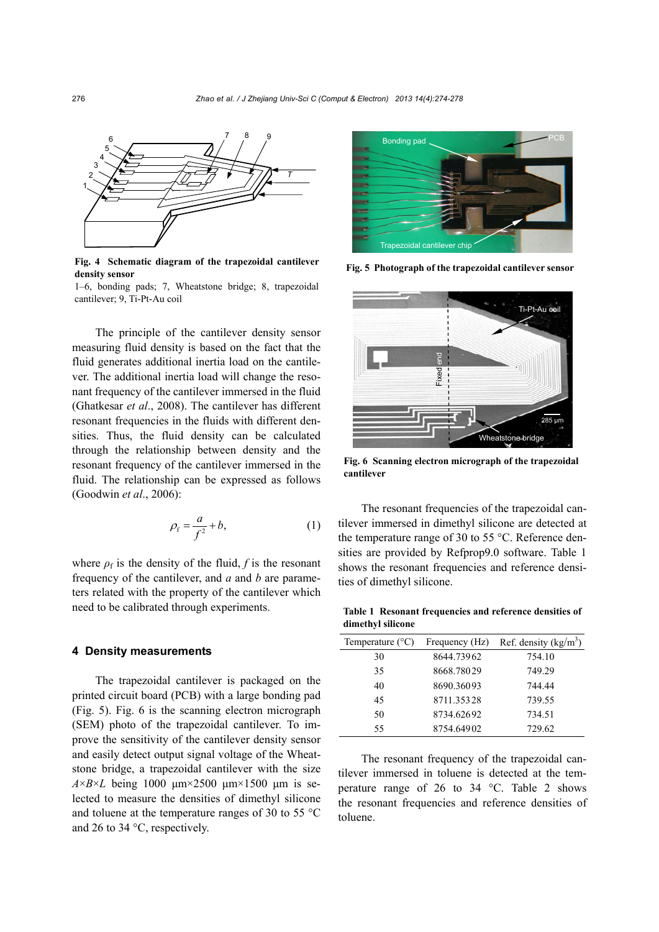

**Fig. 4 Schematic diagram of the trapezoidal cantilever density sensor** 

1–6, bonding pads; 7, Wheatstone bridge; 8, trapezoidal cantilever; 9, Ti-Pt-Au coil

The principle of the cantilever density sensor measuring fluid density is based on the fact that the fluid generates additional inertia load on the cantilever. The additional inertia load will change the resonant frequency of the cantilever immersed in the fluid (Ghatkesar *et al*., 2008). The cantilever has different resonant frequencies in the fluids with different densities. Thus, the fluid density can be calculated through the relationship between density and the resonant frequency of the cantilever immersed in the fluid. The relationship can be expressed as follows (Goodwin *et al*., 2006):

$$
\rho_{\rm f} = \frac{a}{f^2} + b,\tag{1}
$$

where  $\rho_f$  is the density of the fluid, *f* is the resonant frequency of the cantilever, and *a* and *b* are parameters related with the property of the cantilever which need to be calibrated through experiments.

#### **4 Density measurements**

The trapezoidal cantilever is packaged on the printed circuit board (PCB) with a large bonding pad (Fig. 5). Fig. 6 is the scanning electron micrograph (SEM) photo of the trapezoidal cantilever. To improve the sensitivity of the cantilever density sensor and easily detect output signal voltage of the Wheatstone bridge, a trapezoidal cantilever with the size  $A \times B \times L$  being 1000  $\mu$ m×2500  $\mu$ m×1500  $\mu$ m is selected to measure the densities of dimethyl silicone and toluene at the temperature ranges of 30 to 55 °C and 26 to 34 °C, respectively.



**Fig. 5 Photograph of the trapezoidal cantilever sensor** 



**Fig. 6 Scanning electron micrograph of the trapezoidal cantilever** 

The resonant frequencies of the trapezoidal cantilever immersed in dimethyl silicone are detected at the temperature range of 30 to 55 °C. Reference densities are provided by Refprop9.0 software. Table 1 shows the resonant frequencies and reference densities of dimethyl silicone.

**Table 1 Resonant frequencies and reference densities of dimethyl silicone**

| Temperature $(^{\circ}C)$ | Frequency (Hz) | Ref. density $(kg/m3)$ |
|---------------------------|----------------|------------------------|
| 30                        | 8644.73962     | 754.10                 |
| 35                        | 8668.78029     | 749.29                 |
| 40                        | 8690.36093     | 744.44                 |
| 45                        | 8711.35328     | 739.55                 |
| 50                        | 8734.62692     | 734.51                 |
| 55                        | 8754.64902     | 729.62                 |
|                           |                |                        |

The resonant frequency of the trapezoidal cantilever immersed in toluene is detected at the temperature range of 26 to 34 °C. Table 2 shows the resonant frequencies and reference densities of toluene.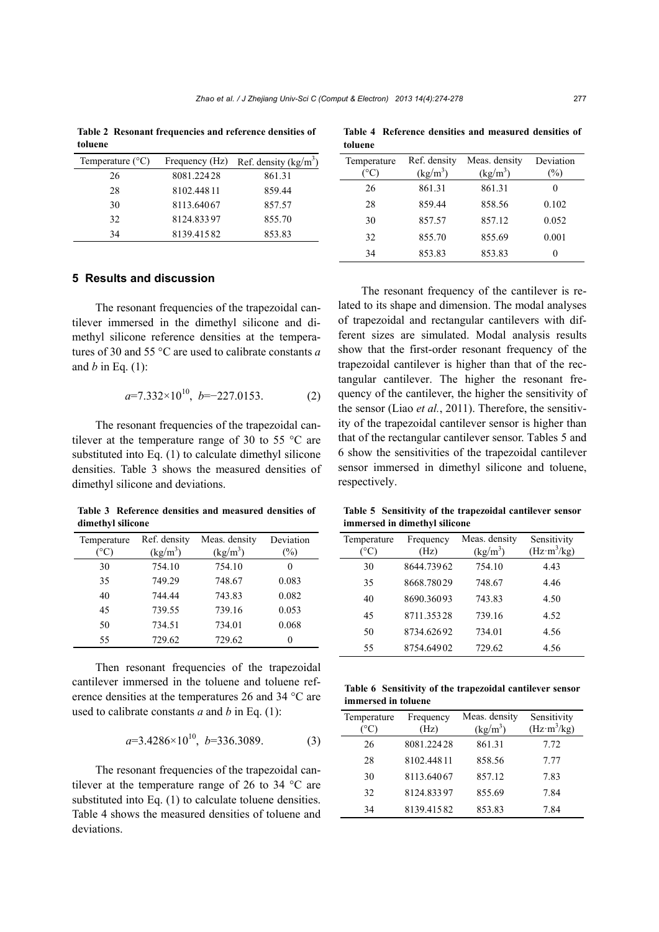**Table 2 Resonant frequencies and reference densities of toluene** 

| Temperature $(^{\circ}C)$ |            | Frequency (Hz) Ref. density $(kg/m3)$ |
|---------------------------|------------|---------------------------------------|
| 26                        | 8081.22428 | 861.31                                |
| 28                        | 8102.44811 | 859.44                                |
| 30                        | 8113.64067 | 857.57                                |
| 32                        | 8124.83397 | 855.70                                |
| 34                        | 8139.41582 | 853.83                                |

## **5 Results and discussion**

The resonant frequencies of the trapezoidal cantilever immersed in the dimethyl silicone and dimethyl silicone reference densities at the temperatures of 30 and 55 °C are used to calibrate constants *a* and *b* in Eq. (1):

$$
a=7.332\times10^{10}, b=-227.0153.
$$
 (2)

The resonant frequencies of the trapezoidal cantilever at the temperature range of 30 to 55  $^{\circ}$ C are substituted into Eq. (1) to calculate dimethyl silicone densities. Table 3 shows the measured densities of dimethyl silicone and deviations.

**Table 3 Reference densities and measured densities of dimethyl silicone**

| Temperature<br>$^{\circ}$ C) | Ref. density<br>(kg/m <sup>3</sup> ) | Meas. density<br>(kg/m <sup>3</sup> ) | Deviation<br>$\%$ |
|------------------------------|--------------------------------------|---------------------------------------|-------------------|
| 30                           | 754.10                               | 754.10                                | $\theta$          |
| 35                           | 749.29                               | 748.67                                | 0.083             |
| 40                           | 744.44                               | 743.83                                | 0.082             |
| 45                           | 739.55                               | 739.16                                | 0.053             |
| 50                           | 734.51                               | 734.01                                | 0.068             |
| 55                           | 729.62                               | 729.62                                |                   |

Then resonant frequencies of the trapezoidal cantilever immersed in the toluene and toluene reference densities at the temperatures 26 and 34 °C are used to calibrate constants *a* and *b* in Eq. (1):

$$
a=3.4286\times10^{10}, b=336.3089.
$$
 (3)

The resonant frequencies of the trapezoidal cantilever at the temperature range of 26 to 34 °C are substituted into Eq. (1) to calculate toluene densities. Table 4 shows the measured densities of toluene and deviations.

| toluene                      |                            |                             |                   |
|------------------------------|----------------------------|-----------------------------|-------------------|
| Temperature<br>$^{\circ}$ C) | Ref. density<br>$(kg/m^3)$ | Meas. density<br>$(kg/m^3)$ | Deviation<br>$\%$ |
| 26                           | 861.31                     | 861.31                      |                   |
| 28                           | 859.44                     | 858.56                      | 0.102             |
| 30                           | 857.57                     | 857.12                      | 0.052             |
| 32                           | 855.70                     | 855.69                      | 0.001             |
| 34                           | 853.83                     | 853.83                      | O                 |

**Table 4 Reference densities and measured densities of** 

The resonant frequency of the cantilever is related to its shape and dimension. The modal analyses of trapezoidal and rectangular cantilevers with different sizes are simulated. Modal analysis results show that the first-order resonant frequency of the trapezoidal cantilever is higher than that of the rectangular cantilever. The higher the resonant frequency of the cantilever, the higher the sensitivity of the sensor (Liao *et al.*, 2011). Therefore, the sensitivity of the trapezoidal cantilever sensor is higher than that of the rectangular cantilever sensor. Tables 5 and 6 show the sensitivities of the trapezoidal cantilever sensor immersed in dimethyl silicone and toluene, respectively.

**Table 5 Sensitivity of the trapezoidal cantilever sensor immersed in dimethyl silicone**

| Temperature<br>$^{\circ}\mathrm{C}$ | Frequency<br>(Hz) | Meas. density<br>(kg/m <sup>3</sup> ) | Sensitivity<br>$(Hz \cdot m^3/kg)$ |
|-------------------------------------|-------------------|---------------------------------------|------------------------------------|
| 30                                  | 8644.73962        | 754.10                                | 4.43                               |
| 35                                  | 8668.78029        | 748.67                                | 4.46                               |
| 40                                  | 8690.36093        | 743.83                                | 4.50                               |
| 45                                  | 8711.35328        | 739.16                                | 4.52                               |
| 50                                  | 8734.62692        | 734.01                                | 4.56                               |
| 55                                  | 8754.64902        | 729.62                                | 4.56                               |

|                     | Table 6 Sensitivity of the trapezoidal cantilever sensor |  |
|---------------------|----------------------------------------------------------|--|
| immersed in toluene |                                                          |  |

| Temperature | Frequency<br>(Hz) | Meas. density<br>(kg/m <sup>3</sup> ) | Sensitivity<br>$(Hz \cdot m^3/kg)$ |
|-------------|-------------------|---------------------------------------|------------------------------------|
| 26          | 8081.22428        | 861.31                                | 7.72                               |
| 28          | 8102.44811        | 858.56                                | 7.77                               |
| 30          | 8113.64067        | 857.12                                | 7.83                               |
| 32          | 8124.83397        | 855.69                                | 7.84                               |
| 34          | 8139.41582        | 853.83                                | 7.84                               |